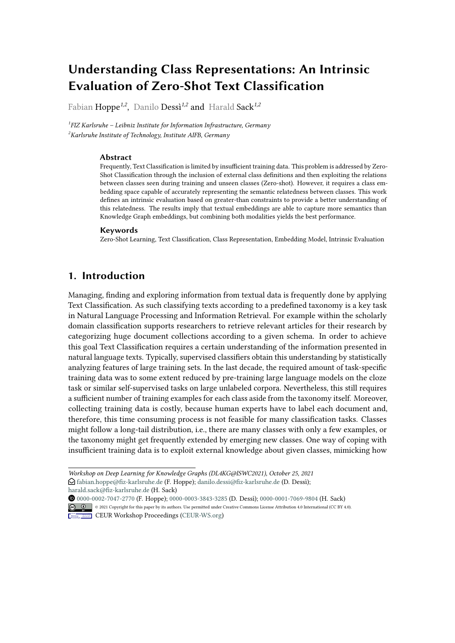# **Understanding Class Representations: An Intrinsic Evaluation of Zero-Shot Text Classification**

Fabian Hoppe*1,2* , Danilo Dessì*1,2* and Harald Sack*1,2*

*1 FIZ Karlsruhe – Leibniz Institute for Information Infrastructure, Germany <sup>2</sup>Karlsruhe Institute of Technology, Institute AIFB, Germany*

#### **Abstract**

Frequently, Text Classification is limited by insufficient training data. This problem is addressed by Zero-Shot Classification through the inclusion of external class definitions and then exploiting the relations between classes seen during training and unseen classes (Zero-shot). However, it requires a class embedding space capable of accurately representing the semantic relatedness between classes. This work defines an intrinsic evaluation based on greater-than constraints to provide a better understanding of this relatedness. The results imply that textual embeddings are able to capture more semantics than Knowledge Graph embeddings, but combining both modalities yields the best performance.

#### **Keywords**

Zero-Shot Learning, Text Classification, Class Representation, Embedding Model, Intrinsic Evaluation

# **1. Introduction**

Managing, finding and exploring information from textual data is frequently done by applying Text Classification. As such classifying texts according to a predefined taxonomy is a key task in Natural Language Processing and Information Retrieval. For example within the scholarly domain classification supports researchers to retrieve relevant articles for their research by categorizing huge document collections according to a given schema. In order to achieve this goal Text Classification requires a certain understanding of the information presented in natural language texts. Typically, supervised classifiers obtain this understanding by statistically analyzing features of large training sets. In the last decade, the required amount of task-specific training data was to some extent reduced by pre-training large language models on the cloze task or similar self-supervised tasks on large unlabeled corpora. Nevertheless, this still requires a sufficient number of training examples for each class aside from the taxonomy itself. Moreover, collecting training data is costly, because human experts have to label each document and, therefore, this time consuming process is not feasible for many classification tasks. Classes might follow a long-tail distribution, i.e., there are many classes with only a few examples, or the taxonomy might get frequently extended by emerging new classes. One way of coping with insufficient training data is to exploit external knowledge about given classes, mimicking how

*Workshop on Deep Learning for Knowledge Graphs (DL4KG@ISWC2021), October 25, 2021*  $\bigcirc$  [fabian.hoppe@fiz-karlsruhe.de](mailto:fabian.hoppe@fiz-karlsruhe.de) (F. Hoppe); [danilo.dessi@fiz-karlsruhe.de](mailto:danilo.dessi@fiz-karlsruhe.de) (D. Dessi); [harald.sack@fiz-karlsruhe.de](mailto:harald.sack@fiz-karlsruhe.de) (H. Sack)

 [0000-0002-7047-2770](https://orcid.org/0000-0002-7047-2770) (F. Hoppe); [0000-0003-3843-3285](https://orcid.org/0000-0003-3843-3285) (D. Dessì); [0000-0001-7069-9804](https://orcid.org/0000-0001-7069-9804) (H. Sack) © 2021 Copyright for this paper by its authors. Use permitted under Creative Commons License Attribution 4.0 International (CC BY 4.0).



**CEUR Workshop [Proceedings](http://ceur-ws.org) [\(CEUR-WS.org\)](http://ceur-ws.org)**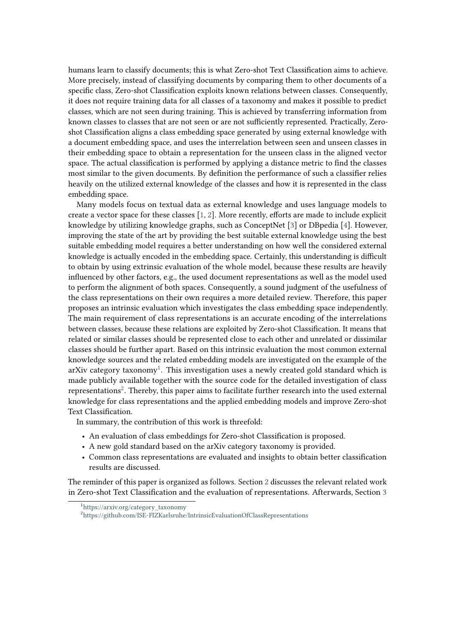humans learn to classify documents; this is what Zero-shot Text Classification aims to achieve. More precisely, instead of classifying documents by comparing them to other documents of a specific class, Zero-shot Classification exploits known relations between classes. Consequently, it does not require training data for all classes of a taxonomy and makes it possible to predict classes, which are not seen during training. This is achieved by transferring information from known classes to classes that are not seen or are not sufficiently represented. Practically, Zeroshot Classification aligns a class embedding space generated by using external knowledge with a document embedding space, and uses the interrelation between seen and unseen classes in their embedding space to obtain a representation for the unseen class in the aligned vector space. The actual classification is performed by applying a distance metric to find the classes most similar to the given documents. By definition the performance of such a classifier relies heavily on the utilized external knowledge of the classes and how it is represented in the class embedding space.

Many models focus on textual data as external knowledge and uses language models to create a vector space for these classes [\[1,](#page-8-0) [2\]](#page-8-1). More recently, efforts are made to include explicit knowledge by utilizing knowledge graphs, such as ConceptNet [\[3\]](#page-8-2) or DBpedia [\[4\]](#page-8-3). However, improving the state of the art by providing the best suitable external knowledge using the best suitable embedding model requires a better understanding on how well the considered external knowledge is actually encoded in the embedding space. Certainly, this understanding is difficult to obtain by using extrinsic evaluation of the whole model, because these results are heavily influenced by other factors, e.g., the used document representations as well as the model used to perform the alignment of both spaces. Consequently, a sound judgment of the usefulness of the class representations on their own requires a more detailed review. Therefore, this paper proposes an intrinsic evaluation which investigates the class embedding space independently. The main requirement of class representations is an accurate encoding of the interrelations between classes, because these relations are exploited by Zero-shot Classification. It means that related or similar classes should be represented close to each other and unrelated or dissimilar classes should be further apart. Based on this intrinsic evaluation the most common external knowledge sources and the related embedding models are investigated on the example of the arXiv category taxonomy $^1$  $^1$ . This investigation uses a newly created gold standard which is made publicly available together with the source code for the detailed investigation of class representations<sup>[2](#page-1-1)</sup>. Thereby, this paper aims to facilitate further research into the used external knowledge for class representations and the applied embedding models and improve Zero-shot Text Classification.

In summary, the contribution of this work is threefold:

- An evaluation of class embeddings for Zero-shot Classification is proposed.
- A new gold standard based on the arXiv category taxonomy is provided.
- Common class representations are evaluated and insights to obtain better classification results are discussed.

The reminder of this paper is organized as follows. Section [2](#page-2-0) discusses the relevant related work in Zero-shot Text Classification and the evaluation of representations. Afterwards, Section [3](#page-3-0)

<span id="page-1-0"></span><sup>1</sup> [https://arxiv.org/category\\_taxonomy](https://arxiv.org/category_taxonomy)

<span id="page-1-1"></span><sup>2</sup> <https://github.com/ISE-FIZKarlsruhe/IntrinsicEvaluationOfClassRepresentations>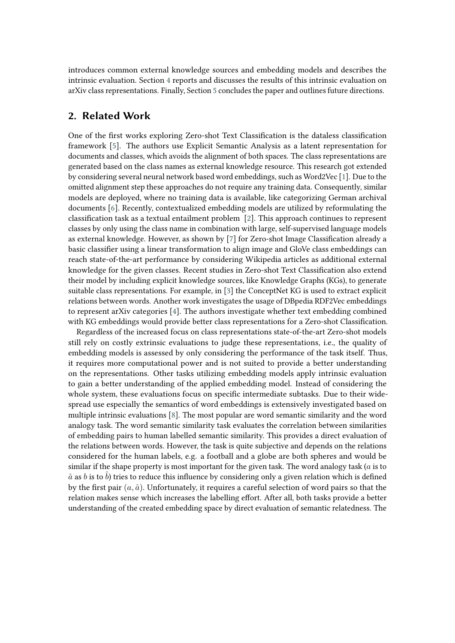introduces common external knowledge sources and embedding models and describes the intrinsic evaluation. Section [4](#page-5-0) reports and discusses the results of this intrinsic evaluation on arXiv class representations. Finally, Section [5](#page-8-4) concludes the paper and outlines future directions.

## <span id="page-2-0"></span>**2. Related Work**

One of the first works exploring Zero-shot Text Classification is the dataless classification framework [\[5\]](#page-8-5). The authors use Explicit Semantic Analysis as a latent representation for documents and classes, which avoids the alignment of both spaces. The class representations are generated based on the class names as external knowledge resource. This research got extended by considering several neural network based word embeddings, such as Word2Vec [\[1\]](#page-8-0). Due to the omitted alignment step these approaches do not require any training data. Consequently, similar models are deployed, where no training data is available, like categorizing German archival documents [\[6\]](#page-9-0). Recently, contextualized embedding models are utilized by reformulating the classification task as a textual entailment problem [\[2\]](#page-8-1). This approach continues to represent classes by only using the class name in combination with large, self-supervised language models as external knowledge. However, as shown by [\[7\]](#page-9-1) for Zero-shot Image Classification already a basic classifier using a linear transformation to align image and GloVe class embeddings can reach state-of-the-art performance by considering Wikipedia articles as additional external knowledge for the given classes. Recent studies in Zero-shot Text Classification also extend their model by including explicit knowledge sources, like Knowledge Graphs (KGs), to generate suitable class representations. For example, in [\[3\]](#page-8-2) the ConceptNet KG is used to extract explicit relations between words. Another work investigates the usage of DBpedia RDF2Vec embeddings to represent arXiv categories [\[4\]](#page-8-3). The authors investigate whether text embedding combined with KG embeddings would provide better class representations for a Zero-shot Classification.

Regardless of the increased focus on class representations state-of-the-art Zero-shot models still rely on costly extrinsic evaluations to judge these representations, i.e., the quality of embedding models is assessed by only considering the performance of the task itself. Thus, it requires more computational power and is not suited to provide a better understanding on the representations. Other tasks utilizing embedding models apply intrinsic evaluation to gain a better understanding of the applied embedding model. Instead of considering the whole system, these evaluations focus on specific intermediate subtasks. Due to their widespread use especially the semantics of word embeddings is extensively investigated based on multiple intrinsic evaluations [\[8\]](#page-9-2). The most popular are word semantic similarity and the word analogy task. The word semantic similarity task evaluates the correlation between similarities of embedding pairs to human labelled semantic similarity. This provides a direct evaluation of the relations between words. However, the task is quite subjective and depends on the relations considered for the human labels, e.g. a football and a globe are both spheres and would be similar if the shape property is most important for the given task. The word analogy task  $(a)$  is to  $\hat{a}$  as  $b$  is to  $\hat{b}$ ) tries to reduce this influence by considering only a given relation which is defined by the first pair  $(a, \hat{a})$ . Unfortunately, it requires a careful selection of word pairs so that the relation makes sense which increases the labelling effort. After all, both tasks provide a better understanding of the created embedding space by direct evaluation of semantic relatedness. The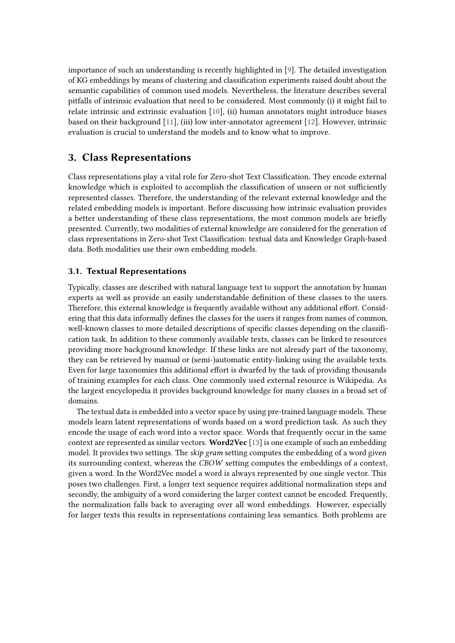importance of such an understanding is recently highlighted in [\[9\]](#page-9-3). The detailed investigation of KG embeddings by means of clustering and classification experiments raised doubt about the semantic capabilities of common used models. Nevertheless, the literature describes several pitfalls of intrinsic evaluation that need to be considered. Most commonly (i) it might fail to relate intrinsic and extrinsic evaluation [\[10\]](#page-9-4), (ii) human annotators might introduce biases based on their background [\[11\]](#page-9-5), (iii) low inter-annotator agreement [\[12\]](#page-9-6). However, intrinsic evaluation is crucial to understand the models and to know what to improve.

# <span id="page-3-0"></span>**3. Class Representations**

Class representations play a vital role for Zero-shot Text Classification. They encode external knowledge which is exploited to accomplish the classification of unseen or not sufficiently represented classes. Therefore, the understanding of the relevant external knowledge and the related embedding models is important. Before discussing how intrinsic evaluation provides a better understanding of these class representations, the most common models are briefly presented. Currently, two modalities of external knowledge are considered for the generation of class representations in Zero-shot Text Classification: textual data and Knowledge Graph-based data. Both modalities use their own embedding models.

## **3.1. Textual Representations**

Typically, classes are described with natural language text to support the annotation by human experts as well as provide an easily understandable definition of these classes to the users. Therefore, this external knowledge is frequently available without any additional effort. Considering that this data informally defines the classes for the users it ranges from names of common, well-known classes to more detailed descriptions of specific classes depending on the classification task. In addition to these commonly available texts, classes can be linked to resources providing more background knowledge. If these links are not already part of the taxonomy, they can be retrieved by manual or (semi-)automatic entity-linking using the available texts. Even for large taxonomies this additional effort is dwarfed by the task of providing thousands of training examples for each class. One commonly used external resource is Wikipedia. As the largest encyclopedia it provides background knowledge for many classes in a broad set of domains.

The textual data is embedded into a vector space by using pre-trained language models. These models learn latent representations of words based on a word prediction task. As such they encode the usage of each word into a vector space. Words that frequently occur in the same context are represented as similar vectors. **Word2Vec** [\[13\]](#page-9-7) is one example of such an embedding model. It provides two settings. The *skip gram* setting computes the embedding of a word given its surrounding context, whereas the *CBOW* setting computes the embeddings of a context, given a word. In the Word2Vec model a word is always represented by one single vector. This poses two challenges. First, a longer text sequence requires additional normalization steps and secondly, the ambiguity of a word considering the larger context cannot be encoded. Frequently, the normalization falls back to averaging over all word embeddings. However, especially for larger texts this results in representations containing less semantics. Both problems are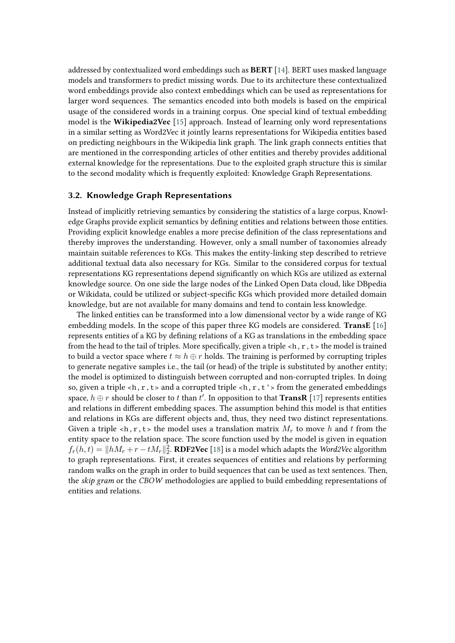addressed by contextualized word embeddings such as **BERT** [\[14\]](#page-9-8). BERT uses masked language models and transformers to predict missing words. Due to its architecture these contextualized word embeddings provide also context embeddings which can be used as representations for larger word sequences. The semantics encoded into both models is based on the empirical usage of the considered words in a training corpus. One special kind of textual embedding model is the **Wikipedia2Vec** [\[15\]](#page-9-9) approach. Instead of learning only word representations in a similar setting as Word2Vec it jointly learns representations for Wikipedia entities based on predicting neighbours in the Wikipedia link graph. The link graph connects entities that are mentioned in the corresponding articles of other entities and thereby provides additional external knowledge for the representations. Due to the exploited graph structure this is similar to the second modality which is frequently exploited: Knowledge Graph Representations.

## **3.2. Knowledge Graph Representations**

Instead of implicitly retrieving semantics by considering the statistics of a large corpus, Knowledge Graphs provide explicit semantics by defining entities and relations between those entities. Providing explicit knowledge enables a more precise definition of the class representations and thereby improves the understanding. However, only a small number of taxonomies already maintain suitable references to KGs. This makes the entity-linking step described to retrieve additional textual data also necessary for KGs. Similar to the considered corpus for textual representations KG representations depend significantly on which KGs are utilized as external knowledge source. On one side the large nodes of the Linked Open Data cloud, like DBpedia or Wikidata, could be utilized or subject-specific KGs which provided more detailed domain knowledge, but are not available for many domains and tend to contain less knowledge.

The linked entities can be transformed into a low dimensional vector by a wide range of KG embedding models. In the scope of this paper three KG models are considered. **TransE** [\[16\]](#page-9-10) represents entities of a KG by defining relations of a KG as translations in the embedding space from the head to the tail of triples. More specifically, given a triple  $\langle h, r, t \rangle$  the model is trained to build a vector space where  $t \approx h \oplus r$  holds. The training is performed by corrupting triples to generate negative samples i.e., the tail (or head) of the triple is substituted by another entity; the model is optimized to distinguish between corrupted and non-corrupted triples. In doing so, given a triple  $\langle h, r, t \rangle$  and a corrupted triple  $\langle h, r, t' \rangle$  from the generated embeddings space,  $h \oplus r$  should be closer to  $t$  than  $t'$ . In opposition to that  $\bf TransR$  [\[17\]](#page-9-11) represents entities and relations in different embedding spaces. The assumption behind this model is that entities and relations in KGs are different objects and, thus, they need two distinct representations. Given a triple <h, r, t> the model uses a translation matrix  $M_r$  to move h and t from the entity space to the relation space. The score function used by the model is given in equation  $f_r(h,t) = ||hM_r + r - tM_r||_2^2$ . **RDF2Vec** [\[18\]](#page-9-12) is a model which adapts the *Word2Vec* algorithm to graph representations. First, it creates sequences of entities and relations by performing random walks on the graph in order to build sequences that can be used as text sentences. Then, the *skip gram* or the *CBOW* methodologies are applied to build embedding representations of entities and relations.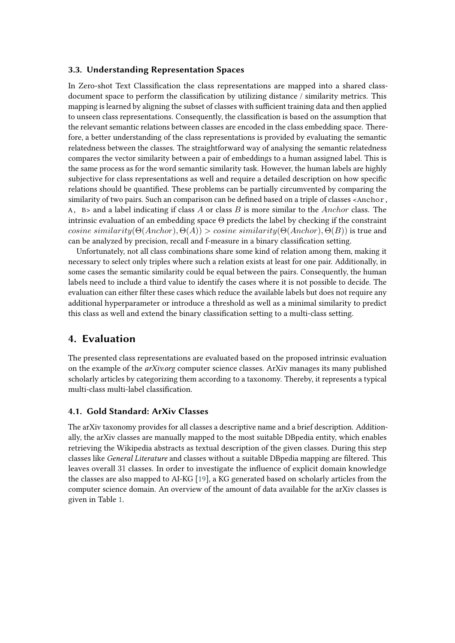## **3.3. Understanding Representation Spaces**

In Zero-shot Text Classification the class representations are mapped into a shared classdocument space to perform the classification by utilizing distance / similarity metrics. This mapping is learned by aligning the subset of classes with sufficient training data and then applied to unseen class representations. Consequently, the classification is based on the assumption that the relevant semantic relations between classes are encoded in the class embedding space. Therefore, a better understanding of the class representations is provided by evaluating the semantic relatedness between the classes. The straightforward way of analysing the semantic relatedness compares the vector similarity between a pair of embeddings to a human assigned label. This is the same process as for the word semantic similarity task. However, the human labels are highly subjective for class representations as well and require a detailed description on how specific relations should be quantified. These problems can be partially circumvented by comparing the similarity of two pairs. Such an comparison can be defined based on a triple of classes <Anchor, A, B is and a label indicating if class A or class B is more similar to the Anchor class. The intrinsic evaluation of an embedding space  $\Theta$  predicts the label by checking if the constraint  $cosine\ similarity(\Theta(Anchor), \Theta(A)) > cosine\ similarity(\Theta(Anchor), \Theta(B))$  is true and can be analyzed by precision, recall and f-measure in a binary classification setting.

Unfortunately, not all class combinations share some kind of relation among them, making it necessary to select only triples where such a relation exists at least for one pair. Additionally, in some cases the semantic similarity could be equal between the pairs. Consequently, the human labels need to include a third value to identify the cases where it is not possible to decide. The evaluation can either filter these cases which reduce the available labels but does not require any additional hyperparameter or introduce a threshold as well as a minimal similarity to predict this class as well and extend the binary classification setting to a multi-class setting.

## <span id="page-5-0"></span>**4. Evaluation**

The presented class representations are evaluated based on the proposed intrinsic evaluation on the example of the *arXiv.org* computer science classes. ArXiv manages its many published scholarly articles by categorizing them according to a taxonomy. Thereby, it represents a typical multi-class multi-label classification.

### **4.1. Gold Standard: ArXiv Classes**

The arXiv taxonomy provides for all classes a descriptive name and a brief description. Additionally, the arXiv classes are manually mapped to the most suitable DBpedia entity, which enables retrieving the Wikipedia abstracts as textual description of the given classes. During this step classes like *General Literature* and classes without a suitable DBpedia mapping are filtered. This leaves overall 31 classes. In order to investigate the influence of explicit domain knowledge the classes are also mapped to AI-KG [\[19\]](#page-9-13), a KG generated based on scholarly articles from the computer science domain. An overview of the amount of data available for the arXiv classes is given in Table [1.](#page-6-0)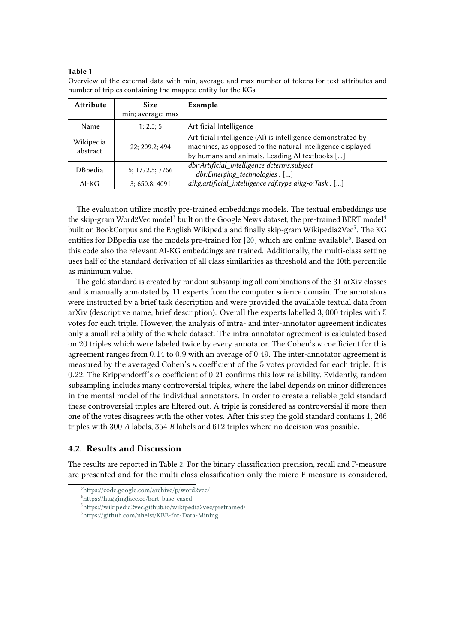### **Table 1**

| <b>Attribute</b>      | <b>Size</b>       | <b>Example</b>                                                                                                                                                               |  |  |
|-----------------------|-------------------|------------------------------------------------------------------------------------------------------------------------------------------------------------------------------|--|--|
|                       | min; average; max |                                                                                                                                                                              |  |  |
| Name                  | 1: 2.5: 5         | Artificial Intelligence                                                                                                                                                      |  |  |
| Wikipedia<br>abstract | 22; 209.2; 494    | Artificial intelligence (AI) is intelligence demonstrated by<br>machines, as opposed to the natural intelligence displayed<br>by humans and animals. Leading AI textbooks [] |  |  |
| <b>D</b> Bpedia       | 5; 1772.5; 7766   | dbr:Artificial_intelligence dcterms:subject<br>dbr:Emerging technologies. []                                                                                                 |  |  |
| $AI-KG$               | 3; 650.8; 4091    | aikg:artificial_intelligence rdf:type aikg-o:Task . []                                                                                                                       |  |  |

<span id="page-6-0"></span>Overview of the external data with min, average and max number of tokens for text attributes and number of triples containing the mapped entity for the KGs.

The evaluation utilize mostly pre-trained embeddings models. The textual embeddings use the skip-gram Word2Vec model<sup>[3](#page-6-1)</sup> built on the Google News dataset, the pre-trained BERT model<sup>[4](#page-6-2)</sup> built on BookCorpus and the English Wikipedia and finally skip-gram Wikipedia2Vec $^5$  $^5$ . The KG entities for DBpedia use the models pre-trained for [\[20\]](#page-9-14) which are online available<sup>[6](#page-6-4)</sup>. Based on this code also the relevant AI-KG embeddings are trained. Additionally, the multi-class setting uses half of the standard derivation of all class similarities as threshold and the 10th percentile as minimum value.

The gold standard is created by random subsampling all combinations of the 31 arXiv classes and is manually annotated by 11 experts from the computer science domain. The annotators were instructed by a brief task description and were provided the available textual data from arXiv (descriptive name, brief description). Overall the experts labelled 3, 000 triples with 5 votes for each triple. However, the analysis of intra- and inter-annotator agreement indicates only a small reliability of the whole dataset. The intra-annotator agreement is calculated based on 20 triples which were labeled twice by every annotator. The Cohen's  $\kappa$  coefficient for this agreement ranges from 0.14 to 0.9 with an average of 0.49. The inter-annotator agreement is measured by the averaged Cohen's  $\kappa$  coefficient of the 5 votes provided for each triple. It is 0.22. The Krippendorff's  $\alpha$  coefficient of 0.21 confirms this low reliability. Evidently, random subsampling includes many controversial triples, where the label depends on minor differences in the mental model of the individual annotators. In order to create a reliable gold standard these controversial triples are filtered out. A triple is considered as controversial if more then one of the votes disagrees with the other votes. After this step the gold standard contains 1, 266 triples with 300 *A* labels, 354 *B* labels and 612 triples where no decision was possible.

## **4.2. Results and Discussion**

The results are reported in Table [2.](#page-7-0) For the binary classification precision, recall and F-measure are presented and for the multi-class classification only the micro F-measure is considered,

<span id="page-6-1"></span><sup>3</sup> <https://code.google.com/archive/p/word2vec/>

<span id="page-6-2"></span><sup>4</sup> <https://huggingface.co/bert-base-cased>

<span id="page-6-3"></span><sup>5</sup> <https://wikipedia2vec.github.io/wikipedia2vec/pretrained/>

<span id="page-6-4"></span><sup>6</sup> <https://github.com/nheist/KBE-for-Data-Mining>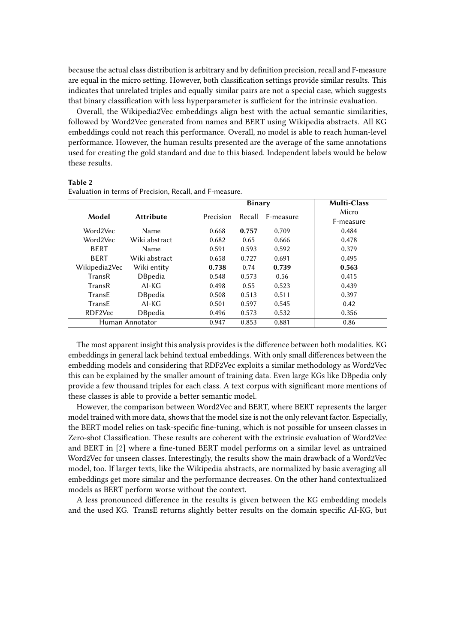because the actual class distribution is arbitrary and by definition precision, recall and F-measure are equal in the micro setting. However, both classification settings provide similar results. This indicates that unrelated triples and equally similar pairs are not a special case, which suggests that binary classification with less hyperparameter is sufficient for the intrinsic evaluation.

Overall, the Wikipedia2Vec embeddings align best with the actual semantic similarities, followed by Word2Vec generated from names and BERT using Wikipedia abstracts. All KG embeddings could not reach this performance. Overall, no model is able to reach human-level performance. However, the human results presented are the average of the same annotations used for creating the gold standard and due to this biased. Independent labels would be below these results.

#### **Table 2**

|                 |                  | <b>Binary</b> |        |           | <b>Multi-Class</b> |
|-----------------|------------------|---------------|--------|-----------|--------------------|
| Model           | <b>Attribute</b> | Precision     | Recall | F-measure | Micro<br>F-measure |
| Word2Vec        | Name             | 0.668         | 0.757  | 0.709     | 0.484              |
| Word2Vec        | Wiki abstract    | 0.682         | 0.65   | 0.666     | 0.478              |
| <b>BERT</b>     | Name             | 0.591         | 0.593  | 0.592     | 0.379              |
| <b>BERT</b>     | Wiki abstract    | 0.658         | 0.727  | 0.691     | 0.495              |
| Wikipedia2Vec   | Wiki entity      | 0.738         | 0.74   | 0.739     | 0.563              |
| TransR          | <b>DBpedia</b>   | 0.548         | 0.573  | 0.56      | 0.415              |
| TransR          | $AI-KG$          | 0.498         | 0.55   | 0.523     | 0.439              |
| TransE          | <b>DBpedia</b>   | 0.508         | 0.513  | 0.511     | 0.397              |
| TransE          | $AI-KG$          | 0.501         | 0.597  | 0.545     | 0.42               |
| RDF2Vec         | <b>DBpedia</b>   | 0.496         | 0.573  | 0.532     | 0.356              |
| Human Annotator |                  | 0.947         | 0.853  | 0.881     | 0.86               |

<span id="page-7-0"></span>Evaluation in terms of Precision, Recall, and F-measure.

The most apparent insight this analysis provides is the difference between both modalities. KG embeddings in general lack behind textual embeddings. With only small differences between the embedding models and considering that RDF2Vec exploits a similar methodology as Word2Vec this can be explained by the smaller amount of training data. Even large KGs like DBpedia only provide a few thousand triples for each class. A text corpus with significant more mentions of these classes is able to provide a better semantic model.

However, the comparison between Word2Vec and BERT, where BERT represents the larger model trained with more data, shows that the model size is not the only relevant factor. Especially, the BERT model relies on task-specific fine-tuning, which is not possible for unseen classes in Zero-shot Classification. These results are coherent with the extrinsic evaluation of Word2Vec and BERT in [\[2\]](#page-8-1) where a fine-tuned BERT model performs on a similar level as untrained Word2Vec for unseen classes. Interestingly, the results show the main drawback of a Word2Vec model, too. If larger texts, like the Wikipedia abstracts, are normalized by basic averaging all embeddings get more similar and the performance decreases. On the other hand contextualized models as BERT perform worse without the context.

A less pronounced difference in the results is given between the KG embedding models and the used KG. TransE returns slightly better results on the domain specific AI-KG, but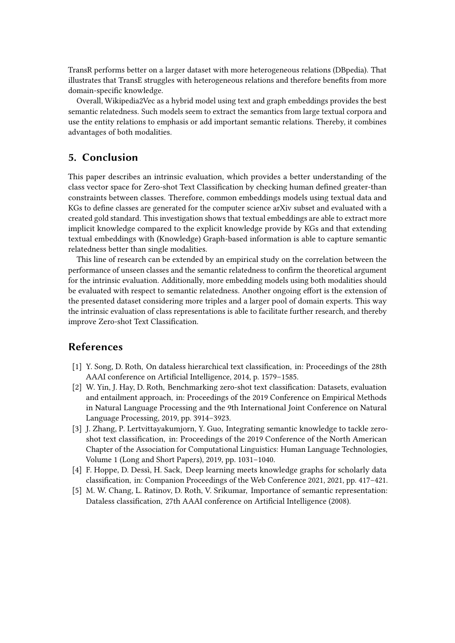TransR performs better on a larger dataset with more heterogeneous relations (DBpedia). That illustrates that TransE struggles with heterogeneous relations and therefore benefits from more domain-specific knowledge.

Overall, Wikipedia2Vec as a hybrid model using text and graph embeddings provides the best semantic relatedness. Such models seem to extract the semantics from large textual corpora and use the entity relations to emphasis or add important semantic relations. Thereby, it combines advantages of both modalities.

# <span id="page-8-4"></span>**5. Conclusion**

This paper describes an intrinsic evaluation, which provides a better understanding of the class vector space for Zero-shot Text Classification by checking human defined greater-than constraints between classes. Therefore, common embeddings models using textual data and KGs to define classes are generated for the computer science arXiv subset and evaluated with a created gold standard. This investigation shows that textual embeddings are able to extract more implicit knowledge compared to the explicit knowledge provide by KGs and that extending textual embeddings with (Knowledge) Graph-based information is able to capture semantic relatedness better than single modalities.

This line of research can be extended by an empirical study on the correlation between the performance of unseen classes and the semantic relatedness to confirm the theoretical argument for the intrinsic evaluation. Additionally, more embedding models using both modalities should be evaluated with respect to semantic relatedness. Another ongoing effort is the extension of the presented dataset considering more triples and a larger pool of domain experts. This way the intrinsic evaluation of class representations is able to facilitate further research, and thereby improve Zero-shot Text Classification.

# **References**

- <span id="page-8-0"></span>[1] Y. Song, D. Roth, On dataless hierarchical text classification, in: Proceedings of the 28th AAAI conference on Artificial Intelligence, 2014, p. 1579–1585.
- <span id="page-8-1"></span>[2] W. Yin, J. Hay, D. Roth, Benchmarking zero-shot text classification: Datasets, evaluation and entailment approach, in: Proceedings of the 2019 Conference on Empirical Methods in Natural Language Processing and the 9th International Joint Conference on Natural Language Processing, 2019, pp. 3914–3923.
- <span id="page-8-2"></span>[3] J. Zhang, P. Lertvittayakumjorn, Y. Guo, Integrating semantic knowledge to tackle zeroshot text classification, in: Proceedings of the 2019 Conference of the North American Chapter of the Association for Computational Linguistics: Human Language Technologies, Volume 1 (Long and Short Papers), 2019, pp. 1031–1040.
- <span id="page-8-3"></span>[4] F. Hoppe, D. Dessì, H. Sack, Deep learning meets knowledge graphs for scholarly data classification, in: Companion Proceedings of the Web Conference 2021, 2021, pp. 417–421.
- <span id="page-8-5"></span>[5] M. W. Chang, L. Ratinov, D. Roth, V. Srikumar, Importance of semantic representation: Dataless classification, 27th AAAI conference on Artificial Intelligence (2008).